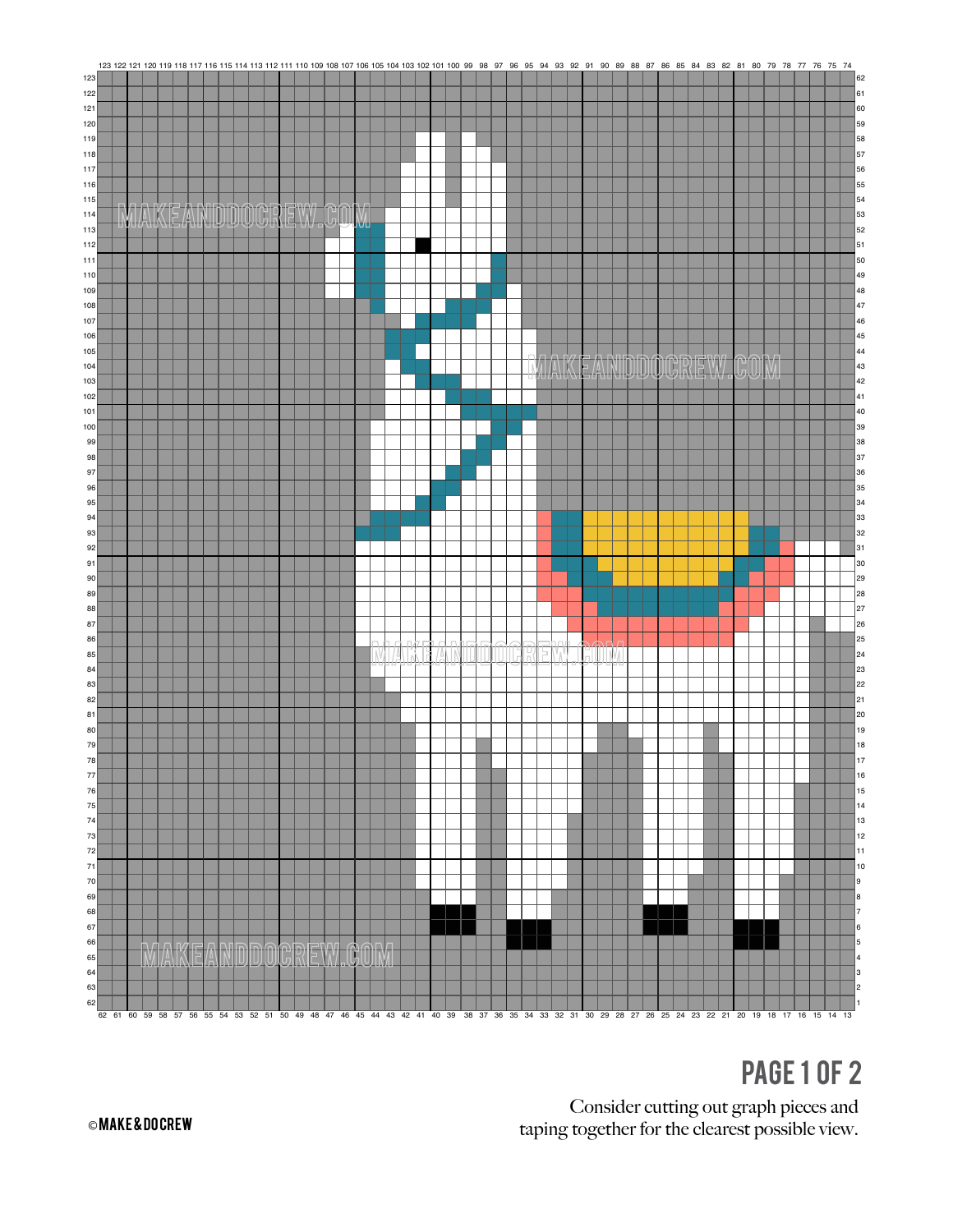

## **PAGE 1 OF 2**

Consider cutting out graph pieces and taping together for the clearest possible view.